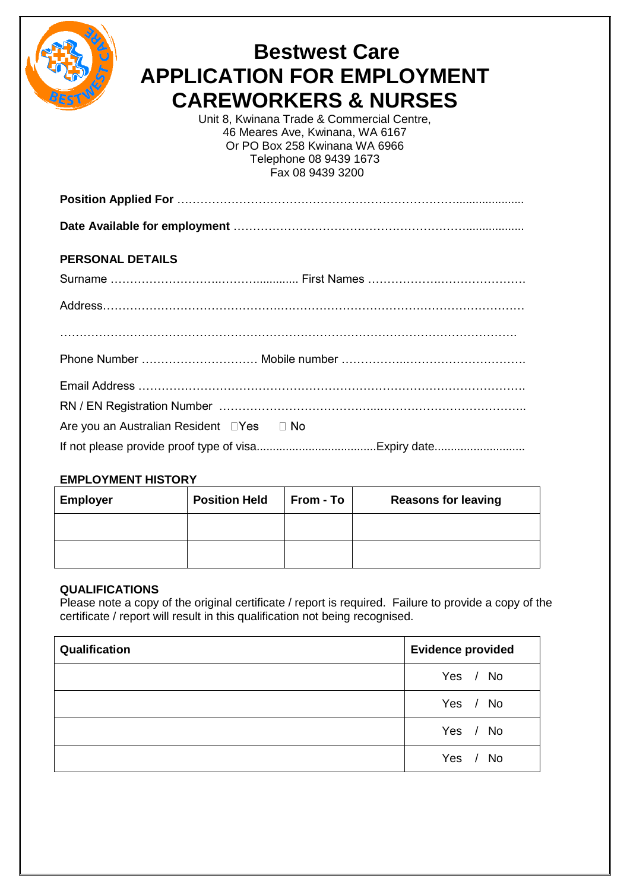

# **Bestwest Care APPLICATION FOR EMPLOYMENT CAREWORKERS & NURSES**

Unit 8, Kwinana Trade & Commercial Centre, 46 Meares Ave, Kwinana, WA 6167 Or PO Box 258 Kwinana WA 6966 Telephone 08 9439 1673 Fax 08 9439 3200

**Date Available for employment** ……………………………………………………..................

#### **PERSONAL DETAILS**

| Are you an Australian Resident □Yes □ No |  |
|------------------------------------------|--|
|                                          |  |

#### **EMPLOYMENT HISTORY**

| <b>Employer</b> | <b>Position Held</b> | From - To | <b>Reasons for leaving</b> |
|-----------------|----------------------|-----------|----------------------------|
|                 |                      |           |                            |
|                 |                      |           |                            |

#### **QUALIFICATIONS**

Please note a copy of the original certificate / report is required. Failure to provide a copy of the certificate / report will result in this qualification not being recognised.

| Qualification | <b>Evidence provided</b> |
|---------------|--------------------------|
|               | Yes / No                 |
|               | Yes / No                 |
|               | Yes / No                 |
|               | Yes / No                 |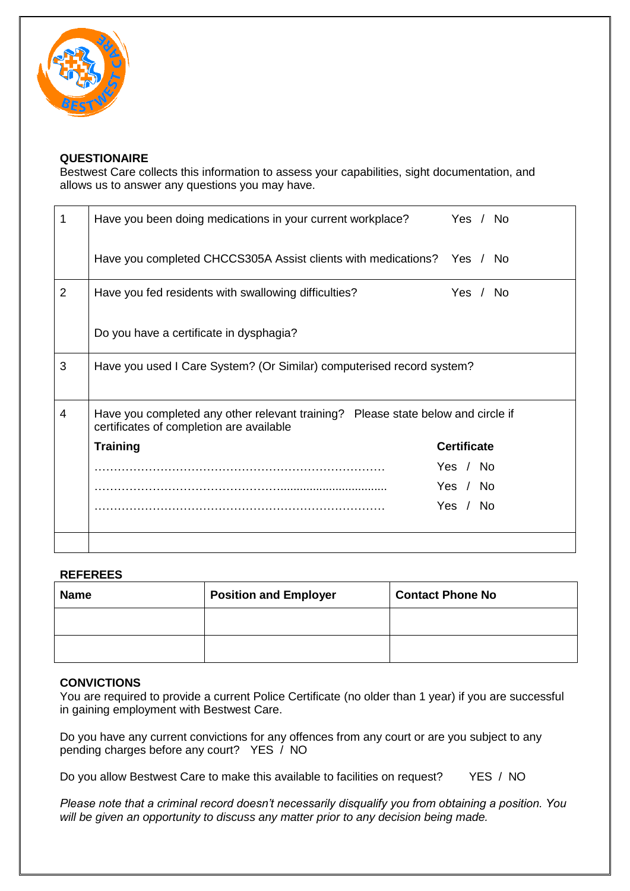

#### **QUESTIONAIRE**

Bestwest Care collects this information to assess your capabilities, sight documentation, and allows us to answer any questions you may have.

|                | Have you been doing medications in your current workplace?                                                                   | Yes / No           |
|----------------|------------------------------------------------------------------------------------------------------------------------------|--------------------|
|                | Have you completed CHCCS305A Assist clients with medications? Yes / No                                                       |                    |
| $\overline{2}$ | Have you fed residents with swallowing difficulties?                                                                         | Yes / No           |
|                | Do you have a certificate in dysphagia?                                                                                      |                    |
| 3              | Have you used I Care System? (Or Similar) computerised record system?                                                        |                    |
|                |                                                                                                                              |                    |
| $\overline{4}$ | Have you completed any other relevant training? Please state below and circle if<br>certificates of completion are available |                    |
|                | <b>Training</b>                                                                                                              | <b>Certificate</b> |
|                |                                                                                                                              | Yes / No           |
|                |                                                                                                                              | Yes / No           |
|                |                                                                                                                              | Yes / No           |
|                |                                                                                                                              |                    |
|                |                                                                                                                              |                    |

#### **REFEREES**

| <b>Name</b> | <b>Position and Employer</b> | <b>Contact Phone No</b> |
|-------------|------------------------------|-------------------------|
|             |                              |                         |
|             |                              |                         |

#### **CONVICTIONS**

You are required to provide a current Police Certificate (no older than 1 year) if you are successful in gaining employment with Bestwest Care.

Do you have any current convictions for any offences from any court or are you subject to any pending charges before any court? YES / NO

Do you allow Bestwest Care to make this available to facilities on request? YES / NO

*Please note that a criminal record doesn't necessarily disqualify you from obtaining a position. You will be given an opportunity to discuss any matter prior to any decision being made.*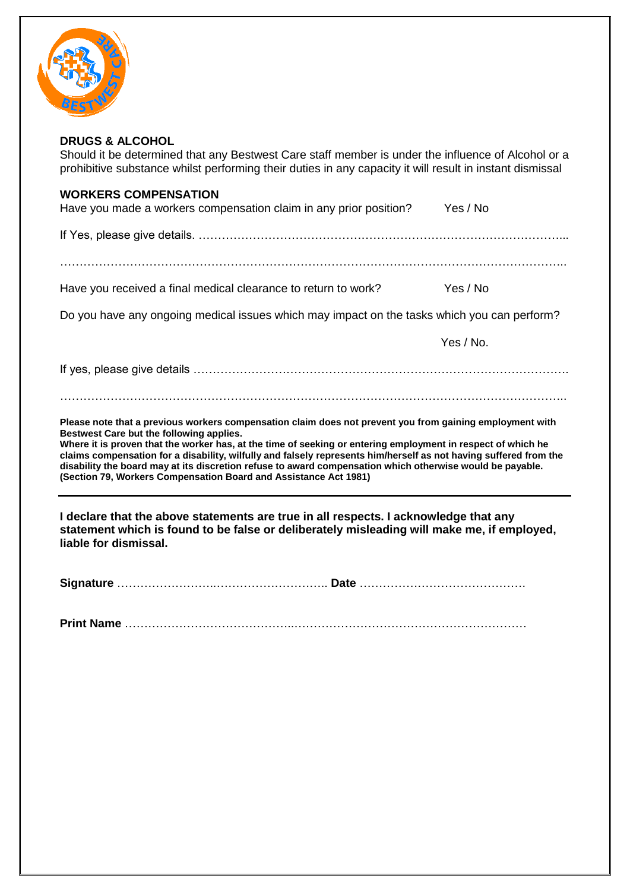

#### **DRUGS & ALCOHOL**

Should it be determined that any Bestwest Care staff member is under the influence of Alcohol or a prohibitive substance whilst performing their duties in any capacity it will result in instant dismissal

#### **WORKERS COMPENSATION**

| Have you made a workers compensation claim in any prior position? | Yes / No |  |
|-------------------------------------------------------------------|----------|--|
|                                                                   |          |  |

If Yes, please give details. …………………………………………………………………………………...

…………………………………………………………………………………………………………………..

Have you received a final medical clearance to return to work? Yes / No

Do you have any ongoing medical issues which may impact on the tasks which you can perform?

Yes / No.

If yes, please give details …………………………………………………………………………………….

#### …………………………………………………………………………………………………………………..

**Please note that a previous workers compensation claim does not prevent you from gaining employment with Bestwest Care but the following applies.**

**Where it is proven that the worker has, at the time of seeking or entering employment in respect of which he claims compensation for a disability, wilfully and falsely represents him/herself as not having suffered from the disability the board may at its discretion refuse to award compensation which otherwise would be payable. (Section 79, Workers Compensation Board and Assistance Act 1981)**

**I declare that the above statements are true in all respects. I acknowledge that any statement which is found to be false or deliberately misleading will make me, if employed, liable for dismissal.**

**Print Name** ……………………………………..……………………………………………………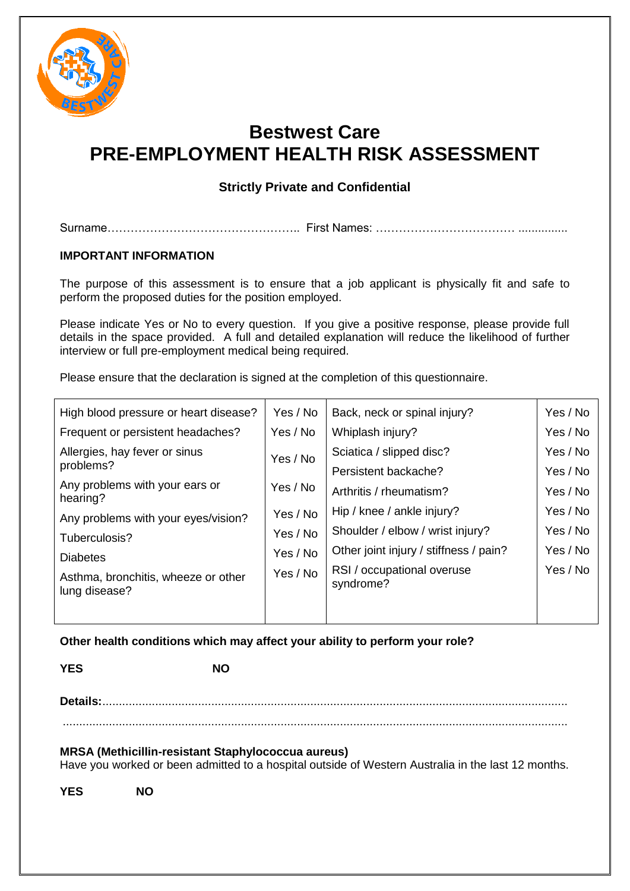

## **Bestwest Care PRE-EMPLOYMENT HEALTH RISK ASSESSMENT**

### **Strictly Private and Confidential**

Surname………………………………………….. First Names: ……………………………… ...............

#### **IMPORTANT INFORMATION**

The purpose of this assessment is to ensure that a job applicant is physically fit and safe to perform the proposed duties for the position employed.

Please indicate Yes or No to every question. If you give a positive response, please provide full details in the space provided. A full and detailed explanation will reduce the likelihood of further interview or full pre-employment medical being required.

Please ensure that the declaration is signed at the completion of this questionnaire.

| High blood pressure or heart disease?                | Yes / No | Back, neck or spinal injury?            | Yes / No |
|------------------------------------------------------|----------|-----------------------------------------|----------|
| Frequent or persistent headaches?                    | Yes / No | Whiplash injury?                        | Yes / No |
| Allergies, hay fever or sinus                        | Yes / No | Sciatica / slipped disc?                | Yes / No |
| problems?                                            |          | Persistent backache?                    | Yes / No |
| Any problems with your ears or<br>hearing?           | Yes / No | Arthritis / rheumatism?                 | Yes / No |
| Any problems with your eyes/vision?                  | Yes / No | Hip / knee / ankle injury?              | Yes / No |
| Tuberculosis?                                        | Yes / No | Shoulder / elbow / wrist injury?        | Yes / No |
| <b>Diabetes</b>                                      | Yes / No | Other joint injury / stiffness / pain?  | Yes / No |
| Asthma, bronchitis, wheeze or other<br>lung disease? | Yes / No | RSI / occupational overuse<br>syndrome? | Yes / No |
|                                                      |          |                                         |          |

**Other health conditions which may affect your ability to perform your role?**

**YES NO**

**Details:**.............................................................................................................................................

.........................................................................................................................................................

#### **MRSA (Methicillin-resistant Staphylococcua aureus)**

Have you worked or been admitted to a hospital outside of Western Australia in the last 12 months.

**YES NO**